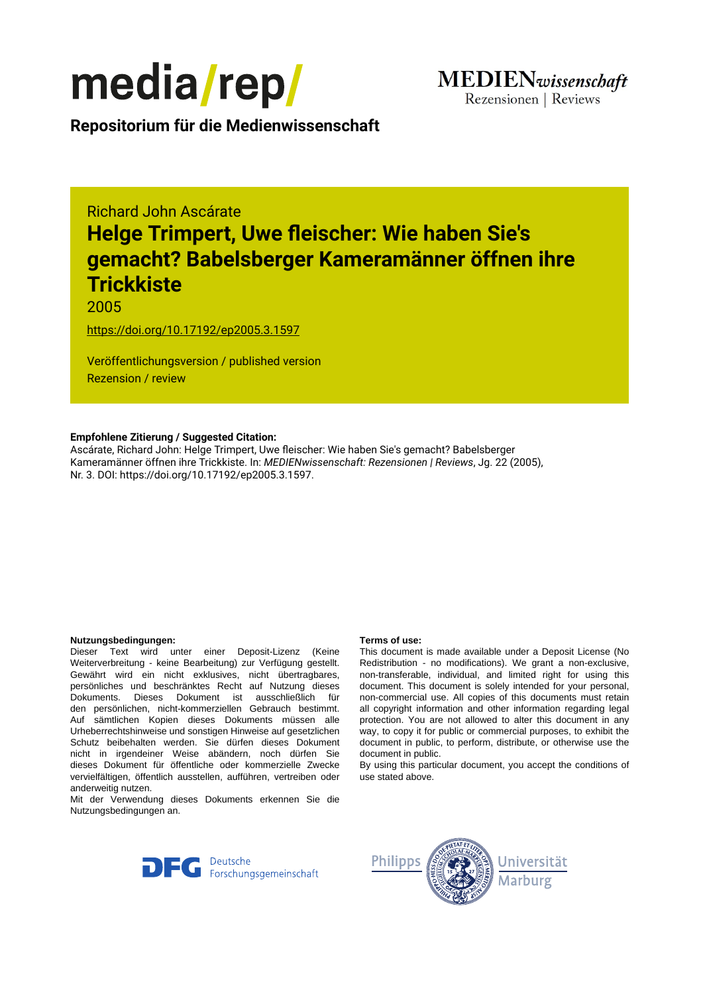

**Repositorium für die [Medienwissenschaft](https://mediarep.org)**

# Richard John Ascárate **Helge Trimpert, Uwe fleischer: Wie haben Sie's gemacht? Babelsberger Kameramänner öffnen ihre Trickkiste**

## 2005

<https://doi.org/10.17192/ep2005.3.1597>

Veröffentlichungsversion / published version Rezension / review

#### **Empfohlene Zitierung / Suggested Citation:**

Ascárate, Richard John: Helge Trimpert, Uwe fleischer: Wie haben Sie's gemacht? Babelsberger Kameramänner öffnen ihre Trickkiste. In: *MEDIENwissenschaft: Rezensionen | Reviews*, Jg. 22 (2005), Nr. 3. DOI: https://doi.org/10.17192/ep2005.3.1597.

#### **Nutzungsbedingungen: Terms of use:**

Dieser Text wird unter einer Deposit-Lizenz (Keine Weiterverbreitung - keine Bearbeitung) zur Verfügung gestellt. Gewährt wird ein nicht exklusives, nicht übertragbares, persönliches und beschränktes Recht auf Nutzung dieses Dokuments. Dieses Dokument ist ausschließlich für den persönlichen, nicht-kommerziellen Gebrauch bestimmt. Auf sämtlichen Kopien dieses Dokuments müssen alle Urheberrechtshinweise und sonstigen Hinweise auf gesetzlichen Schutz beibehalten werden. Sie dürfen dieses Dokument nicht in irgendeiner Weise abändern, noch dürfen Sie dieses Dokument für öffentliche oder kommerzielle Zwecke vervielfältigen, öffentlich ausstellen, aufführen, vertreiben oder anderweitig nutzen.

Mit der Verwendung dieses Dokuments erkennen Sie die Nutzungsbedingungen an.

This document is made available under a Deposit License (No Redistribution - no modifications). We grant a non-exclusive, non-transferable, individual, and limited right for using this document. This document is solely intended for your personal, non-commercial use. All copies of this documents must retain all copyright information and other information regarding legal protection. You are not allowed to alter this document in any way, to copy it for public or commercial purposes, to exhibit the document in public, to perform, distribute, or otherwise use the document in public.

By using this particular document, you accept the conditions of use stated above.



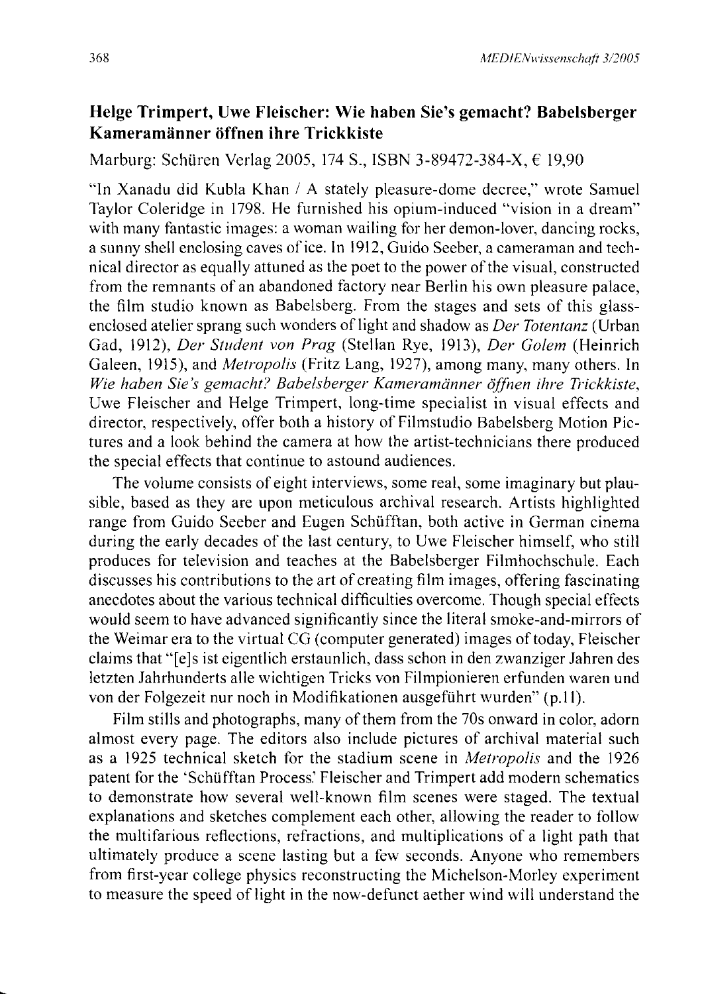### **Helge Trimpert, Uwe Fleischer: Wie haben Sie's gemacht? Babelsberger Kameramänner öffnen ihre Trickkiste**

Marburg: Schüren Verlag 2005, 174 S., ISBN 3-89472-384-X, € 19,90

"In Xanadu did Kubla Khan / A stately pleasure-dome decree," wrote Samuel Taylor Coleridge in 1798. He furnished his opium-induced "vision in a dream" with many fantastic images: a woman wailing for her demon-lover, dancing rocks, a sunny shell enclosing caves ofice. In 1912, Guido Seeber, a cameraman and technical director as equally attuned as the poet to the power ofthe visual, constructed from the remnants of an abandoned factory near Berlin his own pleasure palace, the film studio known as Babelsberg. From the stages and sets of this glassenclosed atelier sprang such wonders of light and shadow as *Der Totentanz* (Urban Gad, 1912), *Der Student von Prag* (Stellan Rye, 1913), *Der Golem* (Heinrich Galeen, 1915), and *Metropolis* (Fritz Lang, 1927), among many, many others. In *Wie haben Sie's gemacht? Babelsberger Kameramänner öffnen ihre Trickkiste,*  Uwe Fleischer and Helge Trimpert, long-time specialist in visual effects and director, respectively, offer both a history of Filmstudio Babelsberg Motion Pictures and a look behind the camera at how the artist-technicians there produced the special effects that continue to astound audiences.

The volume consists of eight interviews, some real, some imaginary but plausible, based as they are upon meticulous archival research. Artists highlighted range from Guido Seeber and Eugen Schüfftan, both active in German cinema during the early decades of the last century, to Uwe Fleischer himself, who still produces for television and teaches at the Babelsberger Filmhochschule. Each discusses his contributions to the art of creating film images, offering fascinating anecdotes about the various technical difficulties overcome. Though special effects would seem to have advanced significantly since the literal smoke-and-mirrors of the Weimar era to the virtual CG (computer generated) images of today, Fleischer claims that "[e]s ist eigentlich erstaunlich, dass schon in den zwanziger Jahren des letzten Jahrhunderts alle wichtigen Tricks von Filmpionieren erfunden waren und von der Folgezeit nur noch in Modifikationen ausgeführt wurden" (p.11).

Film stills and photographs, many of them from the 70s onward in color, adorn almost every page. The editors also include pictures of archival material such as a 1925 technical sketch for the stadium scene in *Metropolis* and the 1926 patent for the 'Schüfftan Process.' Fleischer and Trimpert add modern schematics to demonstrate how several well-known film scenes were staged. The textual explanations and sketches complement each other, allowing the reader to follow the multifarious reflections, refractions, and multiplications of a light path that ultimately produce a scene lasting but a few seconds. Anyone who remembers from first-year college physics reconstructing the Michelson-Morley experiment to measure the speed of light in the now-defunct aether wind will understand the